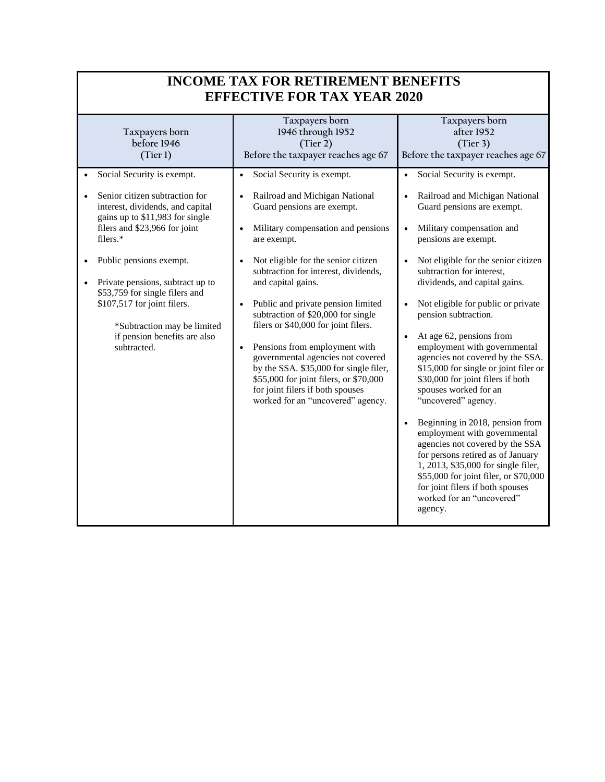| <b>INCOME TAX FOR RETIREMENT BENEFITS</b><br><b>EFFECTIVE FOR TAX YEAR 2020</b>                                                                                                                                                                                                                                                                                  |                                                                                                                                                                                                                                                                                                                                                                                                                                                                                                                                                                                                                                                |                                                                                                                                                                                                                                                                                                                                                                                                                                                                                                                                                                                                                                                                                                                                                                                                                                                                                            |
|------------------------------------------------------------------------------------------------------------------------------------------------------------------------------------------------------------------------------------------------------------------------------------------------------------------------------------------------------------------|------------------------------------------------------------------------------------------------------------------------------------------------------------------------------------------------------------------------------------------------------------------------------------------------------------------------------------------------------------------------------------------------------------------------------------------------------------------------------------------------------------------------------------------------------------------------------------------------------------------------------------------------|--------------------------------------------------------------------------------------------------------------------------------------------------------------------------------------------------------------------------------------------------------------------------------------------------------------------------------------------------------------------------------------------------------------------------------------------------------------------------------------------------------------------------------------------------------------------------------------------------------------------------------------------------------------------------------------------------------------------------------------------------------------------------------------------------------------------------------------------------------------------------------------------|
| Taxpayers born<br>before 1946<br>(Tier 1)<br>Social Security is exempt.                                                                                                                                                                                                                                                                                          | Taxpayers born<br>1946 through 1952<br>(Tier 2)<br>Before the taxpayer reaches age 67<br>Social Security is exempt.<br>$\bullet$                                                                                                                                                                                                                                                                                                                                                                                                                                                                                                               | Taxpayers born<br>after 1952<br>(Tier 3)<br>Before the taxpayer reaches age 67<br>Social Security is exempt.<br>$\bullet$                                                                                                                                                                                                                                                                                                                                                                                                                                                                                                                                                                                                                                                                                                                                                                  |
| Senior citizen subtraction for<br>interest, dividends, and capital<br>gains up to \$11,983 for single<br>filers and \$23,966 for joint<br>filers.*<br>Public pensions exempt.<br>Private pensions, subtract up to<br>\$53,759 for single filers and<br>\$107,517 for joint filers.<br>*Subtraction may be limited<br>if pension benefits are also<br>subtracted. | Railroad and Michigan National<br>$\bullet$<br>Guard pensions are exempt.<br>Military compensation and pensions<br>$\bullet$<br>are exempt.<br>Not eligible for the senior citizen<br>$\bullet$<br>subtraction for interest, dividends,<br>and capital gains.<br>Public and private pension limited<br>$\bullet$<br>subtraction of \$20,000 for single<br>filers or \$40,000 for joint filers.<br>Pensions from employment with<br>$\bullet$<br>governmental agencies not covered<br>by the SSA. \$35,000 for single filer,<br>\$55,000 for joint filers, or \$70,000<br>for joint filers if both spouses<br>worked for an "uncovered" agency. | Railroad and Michigan National<br>Guard pensions are exempt.<br>Military compensation and<br>$\bullet$<br>pensions are exempt.<br>Not eligible for the senior citizen<br>$\bullet$<br>subtraction for interest,<br>dividends, and capital gains.<br>Not eligible for public or private<br>$\bullet$<br>pension subtraction.<br>At age 62, pensions from<br>$\bullet$<br>employment with governmental<br>agencies not covered by the SSA.<br>\$15,000 for single or joint filer or<br>\$30,000 for joint filers if both<br>spouses worked for an<br>"uncovered" agency.<br>Beginning in 2018, pension from<br>$\bullet$<br>employment with governmental<br>agencies not covered by the SSA<br>for persons retired as of January<br>1, 2013, \$35,000 for single filer,<br>\$55,000 for joint filer, or \$70,000<br>for joint filers if both spouses<br>worked for an "uncovered"<br>agency. |

٦